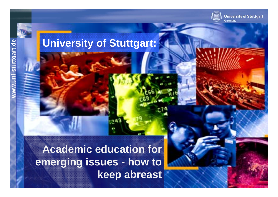**University of Stuttgart** Germany

Prof. Dr.-Ing. Wolfram Ressel

# **and Suitersity of Stuttgart:**

**Academic education for emerging issues - how to Experimental Rammar Rammar Rammar Rammar Rammar Rammar Rammar Rammar Rammar Rammar Rammar Rammar Rammar Rammar keep abreast**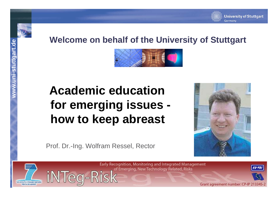**ni-stuttg**

## **art.deWelcome on behalf of the University of Stuttgart**



## **www.u Academic education for emerging issues how to keep abreast**



Prof. Dr.-Ing. Wolfram Ressel, Rector





Early Recognition, Monitoring and Integrated Management of Emerging, New Technology Related, Risks



Grant agreement number: CP-IP 213345-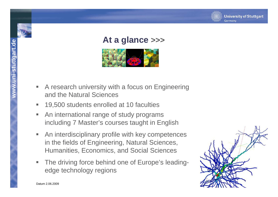### **art.deAt a glance >>>**

- **A research university with a focus on Engineering<br>and the Natural Sciences**
- $\overline{\phantom{a}}$ 19,500 students enrolled at 10 faculties
- $\blacksquare$  An international range of study programs including 7 Master's courses taught in English
- $\overline{\phantom{a}}$  An interdisciplinary profile with key competences in the fields of Engineering, Natural Sciences, Humanities, Economics, and Social Sciences
- Ŧ The driving force behind one of Europe's leading-<br>
edge technology regions<br>
Datum 2.06.2009



Datum 2.06.2009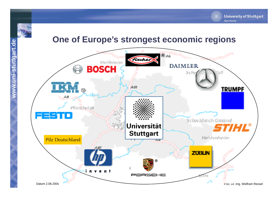**ni-stuttg**

**www.u**

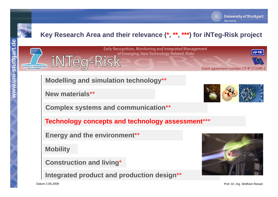

SEVENTH FRAMEWORK

### **Key Research Area and their relevance (\*, \*\*, \*\*\*) for iNTeg-Risk project**



# **Modelling and simulation technology\*\***<br>New materials\*\*



**University of Stuttgart** 

Germany

**Complex systems and communication**\*\*

**Technology concepts and technology assessment \*\*\*** 

**Energy and the environment**\*\*

**Mobility**

**Construction and living**\*

**Integrated product and production design**\*\*



Datum 2.06.2009

Prof. Dr.-Ing. Wolfram Ressel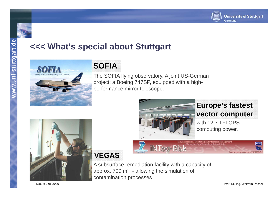

## art.com <<<< What's special about Stuttgart



project: a Boeing 747SP, equipped with a highperformance mirror telescope.



## **VEGAS**

A subsurface remediation facility with a capacity of approx. 700  $m<sup>2</sup>$  - allowing the simulation of contamination processes.

iNTeg-Risk

### **Europe's fastest vector computer**

with 12.7 TFI OPS computing power.

Datum 2.06.2009

**EU-YRI** 

nt number: CP-IP 213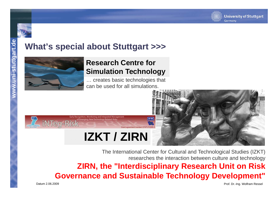

## **art.** What's special about Stuttgart >>>



iNTeg-Risk

## **Research Centre for<br>Simulation Technology**

**<sup>n</sup>**… creates basic technologies that can be used for all simulations.



The International Center for Cultural and Technological Studies (IZKT) researches the interaction between culture and technology **ZIRN the "Interdisciplinary Research Unit on Risk ZIRN, Interdisciplinary Governance and Sustainable Technology Development"**

Datum 2.06.2009

Prof. Dr.-Ing. Wolfram Ressel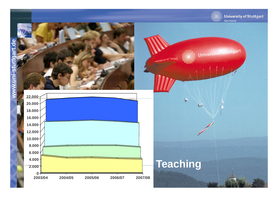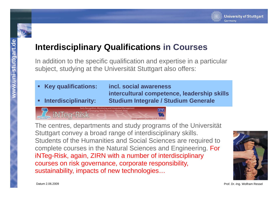

### **Interdisciplinary Qualifications in Courses**

In addition to the specific qualification and expertise in a particular subject, studying at the Universität Stuttgart also offers:

- **Key qualifications: incl. social awareness**
- п
- **intercultural competence, leadership skills Interdisciplinarity: Studium Integrale / Studium Generale**



The centres, departments and study programs of the Universität Stuttgart convey a broad range of interdisciplinary skills. Students of the Humanities and Social Sciences are required to complete courses in the Natural Sciences and Engineering. For iNTeg-Risk, again, ZIRN with a number of interdisciplinary courses on risk governance, corporate responsibility, sustainability, impacts of new technologies…



**ni-stuttg a www.u n**

Prof. Dr.-Ing. Wolfram Ressel